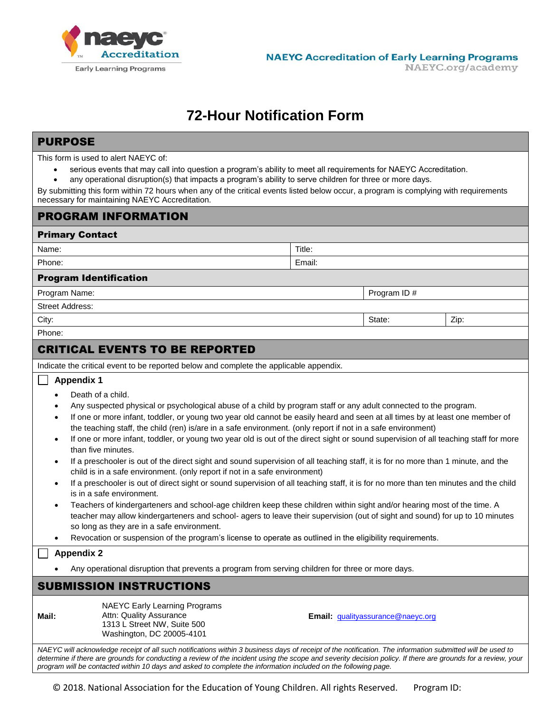

# **72-Hour Notification Form**

## PURPOSE

This form is used to alert NAEYC of:

- serious events that may call into question a program's ability to meet all requirements for NAEYC Accreditation.
- any operational disruption(s) that impacts a program's ability to serve children for three or more days.

By submitting this form within 72 hours when any of the critical events listed below occur, a program is complying with requirements necessary for maintaining NAEYC Accreditation.

## PROGRAM INFORMATION

| <b>Primary Contact</b>        |             |        |      |
|-------------------------------|-------------|--------|------|
| Name:                         | Title:      |        |      |
| Phone:                        | Email:      |        |      |
| <b>Program Identification</b> |             |        |      |
| Program Name:                 | Program ID# |        |      |
| <b>Street Address:</b>        |             |        |      |
| City:                         |             | State: | Zip: |
| Phone:                        |             |        |      |
| -----<br>____                 |             |        |      |

# CRITICAL EVENTS TO BE REPORTED

Indicate the critical event to be reported below and complete the applicable appendix.

#### **Appendix 1**

- Death of a child.
- Any suspected physical or psychological abuse of a child by program staff or any adult connected to the program.
- If one or more infant, toddler, or young two year old cannot be easily heard and seen at all times by at least one member of the teaching staff, the child (ren) is/are in a safe environment. (only report if not in a safe environment)
- If one or more infant, toddler, or young two year old is out of the direct sight or sound supervision of all teaching staff for more than five minutes.
- If a preschooler is out of the direct sight and sound supervision of all teaching staff, it is for no more than 1 minute, and the child is in a safe environment. (only report if not in a safe environment)
- If a preschooler is out of direct sight or sound supervision of all teaching staff, it is for no more than ten minutes and the child is in a safe environment.
- Teachers of kindergarteners and school-age children keep these children within sight and/or hearing most of the time. A teacher may allow kindergarteners and school- agers to leave their supervision (out of sight and sound) for up to 10 minutes so long as they are in a safe environment.
- Revocation or suspension of the program's license to operate as outlined in the eligibility requirements.

#### **Appendix 2**

Any operational disruption that prevents a program from serving children for three or more days.

## SUBMISSION INSTRUCTIONS

**Mail:**

NAEYC Early Learning Programs Attn: Quality Assurance 1313 L Street NW, Suite 500 Washington, DC 20005-4101

**Email:** [qualityassurance@naeyc.org](mailto:qualityassurance@naeyc.org)

*NAEYC will acknowledge receipt of all such notifications within 3 business days of receipt of the notification. The information submitted will be used to determine if there are grounds for conducting a review of the incident using the scope and severity decision policy. If there are grounds for a review, your program will be contacted within 10 days and asked to complete the information included on the following page.*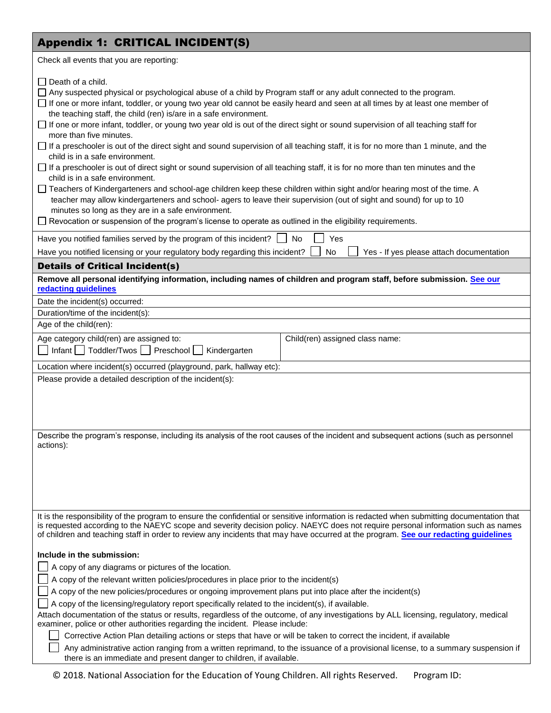# Appendix 1: CRITICAL INCIDENT(S)

| Appendix 1: CRITICAL INCIDENI(S)                                                                                                                                                                                                                                                                                                                                                                                                                                                                                                                                                                                                                                                                                                                                                                                                                                                                                                                                                                                                                                                                                                                                                                                                                                                                    |  |  |  |
|-----------------------------------------------------------------------------------------------------------------------------------------------------------------------------------------------------------------------------------------------------------------------------------------------------------------------------------------------------------------------------------------------------------------------------------------------------------------------------------------------------------------------------------------------------------------------------------------------------------------------------------------------------------------------------------------------------------------------------------------------------------------------------------------------------------------------------------------------------------------------------------------------------------------------------------------------------------------------------------------------------------------------------------------------------------------------------------------------------------------------------------------------------------------------------------------------------------------------------------------------------------------------------------------------------|--|--|--|
| Check all events that you are reporting:                                                                                                                                                                                                                                                                                                                                                                                                                                                                                                                                                                                                                                                                                                                                                                                                                                                                                                                                                                                                                                                                                                                                                                                                                                                            |  |  |  |
| $\Box$ Death of a child.<br>□ Any suspected physical or psychological abuse of a child by Program staff or any adult connected to the program.<br>□ If one or more infant, toddler, or young two year old cannot be easily heard and seen at all times by at least one member of<br>the teaching staff, the child (ren) is/are in a safe environment.<br>□ If one or more infant, toddler, or young two year old is out of the direct sight or sound supervision of all teaching staff for<br>more than five minutes.<br>If a preschooler is out of the direct sight and sound supervision of all teaching staff, it is for no more than 1 minute, and the<br>child is in a safe environment.<br>$\Box$ If a preschooler is out of direct sight or sound supervision of all teaching staff, it is for no more than ten minutes and the<br>child is in a safe environment.<br>□ Teachers of Kindergarteners and school-age children keep these children within sight and/or hearing most of the time. A<br>teacher may allow kindergarteners and school- agers to leave their supervision (out of sight and sound) for up to 10<br>minutes so long as they are in a safe environment.<br>□ Revocation or suspension of the program's license to operate as outlined in the eligibility requirements. |  |  |  |
| Yes<br>Have you notified families served by the program of this incident?<br>No                                                                                                                                                                                                                                                                                                                                                                                                                                                                                                                                                                                                                                                                                                                                                                                                                                                                                                                                                                                                                                                                                                                                                                                                                     |  |  |  |
| Have you notified licensing or your regulatory body regarding this incident?<br>No<br>Yes - If yes please attach documentation                                                                                                                                                                                                                                                                                                                                                                                                                                                                                                                                                                                                                                                                                                                                                                                                                                                                                                                                                                                                                                                                                                                                                                      |  |  |  |
| <b>Details of Critical Incident(s)</b>                                                                                                                                                                                                                                                                                                                                                                                                                                                                                                                                                                                                                                                                                                                                                                                                                                                                                                                                                                                                                                                                                                                                                                                                                                                              |  |  |  |
| Remove all personal identifying information, including names of children and program staff, before submission. See our<br>redacting guidelines                                                                                                                                                                                                                                                                                                                                                                                                                                                                                                                                                                                                                                                                                                                                                                                                                                                                                                                                                                                                                                                                                                                                                      |  |  |  |
| Date the incident(s) occurred:                                                                                                                                                                                                                                                                                                                                                                                                                                                                                                                                                                                                                                                                                                                                                                                                                                                                                                                                                                                                                                                                                                                                                                                                                                                                      |  |  |  |
| Duration/time of the incident(s):                                                                                                                                                                                                                                                                                                                                                                                                                                                                                                                                                                                                                                                                                                                                                                                                                                                                                                                                                                                                                                                                                                                                                                                                                                                                   |  |  |  |
| Age of the child(ren):                                                                                                                                                                                                                                                                                                                                                                                                                                                                                                                                                                                                                                                                                                                                                                                                                                                                                                                                                                                                                                                                                                                                                                                                                                                                              |  |  |  |
| Age category child(ren) are assigned to:<br>Child(ren) assigned class name:<br>Infant   Toddler/Twos   Preschool  <br>Kindergarten                                                                                                                                                                                                                                                                                                                                                                                                                                                                                                                                                                                                                                                                                                                                                                                                                                                                                                                                                                                                                                                                                                                                                                  |  |  |  |
| Location where incident(s) occurred (playground, park, hallway etc):                                                                                                                                                                                                                                                                                                                                                                                                                                                                                                                                                                                                                                                                                                                                                                                                                                                                                                                                                                                                                                                                                                                                                                                                                                |  |  |  |
| Please provide a detailed description of the incident(s):                                                                                                                                                                                                                                                                                                                                                                                                                                                                                                                                                                                                                                                                                                                                                                                                                                                                                                                                                                                                                                                                                                                                                                                                                                           |  |  |  |
| Describe the program's response, including its analysis of the root causes of the incident and subsequent actions (such as personnel<br>actions):                                                                                                                                                                                                                                                                                                                                                                                                                                                                                                                                                                                                                                                                                                                                                                                                                                                                                                                                                                                                                                                                                                                                                   |  |  |  |
| It is the responsibility of the program to ensure the confidential or sensitive information is redacted when submitting documentation that<br>is requested according to the NAEYC scope and severity decision policy. NAEYC does not require personal information such as names<br>of children and teaching staff in order to review any incidents that may have occurred at the program. See our redacting guidelines                                                                                                                                                                                                                                                                                                                                                                                                                                                                                                                                                                                                                                                                                                                                                                                                                                                                              |  |  |  |
| Include in the submission:<br>A copy of any diagrams or pictures of the location.<br>A copy of the relevant written policies/procedures in place prior to the incident(s)<br>A copy of the new policies/procedures or ongoing improvement plans put into place after the incident(s)<br>A copy of the licensing/regulatory report specifically related to the incident(s), if available.<br>Attach documentation of the status or results, regardless of the outcome, of any investigations by ALL licensing, regulatory, medical<br>examiner, police or other authorities regarding the incident. Please include:<br>Corrective Action Plan detailing actions or steps that have or will be taken to correct the incident, if available<br>Any administrative action ranging from a written reprimand, to the issuance of a provisional license, to a summary suspension if<br>there is an immediate and present danger to children, if available.                                                                                                                                                                                                                                                                                                                                                 |  |  |  |